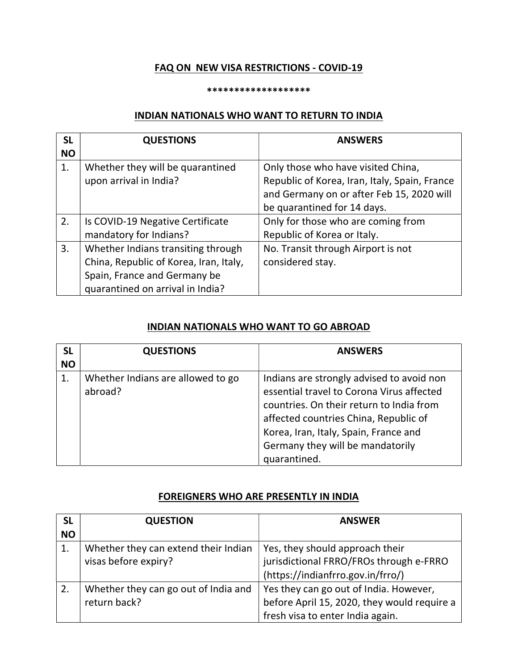# FAQ ON NEW VISA RESTRICTIONS - COVID-19

#### \*\*\*\*\*\*\*\*\*\*\*\*\*\*\*\*\*\*\*

## INDIAN NATIONALS WHO WANT TO RETURN TO INDIA

| <b>SL</b> | <b>QUESTIONS</b>                       | <b>ANSWERS</b>                                |
|-----------|----------------------------------------|-----------------------------------------------|
| <b>NO</b> |                                        |                                               |
| 1.        | Whether they will be quarantined       | Only those who have visited China,            |
|           | upon arrival in India?                 | Republic of Korea, Iran, Italy, Spain, France |
|           |                                        | and Germany on or after Feb 15, 2020 will     |
|           |                                        | be quarantined for 14 days.                   |
| 2.        | Is COVID-19 Negative Certificate       | Only for those who are coming from            |
|           | mandatory for Indians?                 | Republic of Korea or Italy.                   |
| 3.        | Whether Indians transiting through     | No. Transit through Airport is not            |
|           | China, Republic of Korea, Iran, Italy, | considered stay.                              |
|           | Spain, France and Germany be           |                                               |
|           | quarantined on arrival in India?       |                                               |

### INDIAN NATIONALS WHO WANT TO GO ABROAD

| <b>SL</b> | <b>QUESTIONS</b>                             | <b>ANSWERS</b>                                                                                                                                                                                                                                                           |
|-----------|----------------------------------------------|--------------------------------------------------------------------------------------------------------------------------------------------------------------------------------------------------------------------------------------------------------------------------|
| <b>NO</b> |                                              |                                                                                                                                                                                                                                                                          |
| 1.        | Whether Indians are allowed to go<br>abroad? | Indians are strongly advised to avoid non<br>essential travel to Corona Virus affected<br>countries. On their return to India from<br>affected countries China, Republic of<br>Korea, Iran, Italy, Spain, France and<br>Germany they will be mandatorily<br>quarantined. |

### FOREIGNERS WHO ARE PRESENTLY IN INDIA

| <b>SL</b><br><b>NO</b> | <b>QUESTION</b>                      | <b>ANSWER</b>                               |
|------------------------|--------------------------------------|---------------------------------------------|
|                        |                                      |                                             |
|                        | Whether they can extend their Indian | Yes, they should approach their             |
|                        | visas before expiry?                 | jurisdictional FRRO/FROs through e-FRRO     |
|                        |                                      | (https://indianfrro.gov.in/frro/)           |
| 2.                     | Whether they can go out of India and | Yes they can go out of India. However,      |
|                        | return back?                         | before April 15, 2020, they would require a |
|                        |                                      | fresh visa to enter India again.            |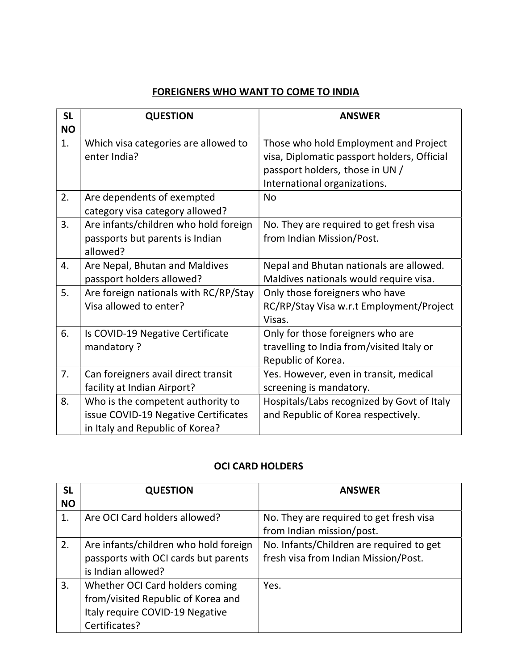# FOREIGNERS WHO WANT TO COME TO INDIA

| <b>SL</b><br><b>NO</b> | <b>QUESTION</b>                                                                                              | <b>ANSWER</b>                                                                                                                                           |
|------------------------|--------------------------------------------------------------------------------------------------------------|---------------------------------------------------------------------------------------------------------------------------------------------------------|
| 1.                     | Which visa categories are allowed to<br>enter India?                                                         | Those who hold Employment and Project<br>visa, Diplomatic passport holders, Official<br>passport holders, those in UN /<br>International organizations. |
| 2.                     | Are dependents of exempted<br>category visa category allowed?                                                | <b>No</b>                                                                                                                                               |
| 3.                     | Are infants/children who hold foreign<br>passports but parents is Indian<br>allowed?                         | No. They are required to get fresh visa<br>from Indian Mission/Post.                                                                                    |
| 4.                     | Are Nepal, Bhutan and Maldives<br>passport holders allowed?                                                  | Nepal and Bhutan nationals are allowed.<br>Maldives nationals would require visa.                                                                       |
| 5.                     | Are foreign nationals with RC/RP/Stay<br>Visa allowed to enter?                                              | Only those foreigners who have<br>RC/RP/Stay Visa w.r.t Employment/Project<br>Visas.                                                                    |
| 6.                     | Is COVID-19 Negative Certificate<br>mandatory?                                                               | Only for those foreigners who are<br>travelling to India from/visited Italy or<br>Republic of Korea.                                                    |
| 7.                     | Can foreigners avail direct transit<br>facility at Indian Airport?                                           | Yes. However, even in transit, medical<br>screening is mandatory.                                                                                       |
| 8.                     | Who is the competent authority to<br>issue COVID-19 Negative Certificates<br>in Italy and Republic of Korea? | Hospitals/Labs recognized by Govt of Italy<br>and Republic of Korea respectively.                                                                       |

# OCI CARD HOLDERS

| <b>SL</b> | <b>QUESTION</b>                       | <b>ANSWER</b>                            |
|-----------|---------------------------------------|------------------------------------------|
| <b>NO</b> |                                       |                                          |
| 1.        | Are OCI Card holders allowed?         | No. They are required to get fresh visa  |
|           |                                       | from Indian mission/post.                |
| 2.        | Are infants/children who hold foreign | No. Infants/Children are required to get |
|           | passports with OCI cards but parents  | fresh visa from Indian Mission/Post.     |
|           | is Indian allowed?                    |                                          |
| 3.        | Whether OCI Card holders coming       | Yes.                                     |
|           | from/visited Republic of Korea and    |                                          |
|           | Italy require COVID-19 Negative       |                                          |
|           | Certificates?                         |                                          |